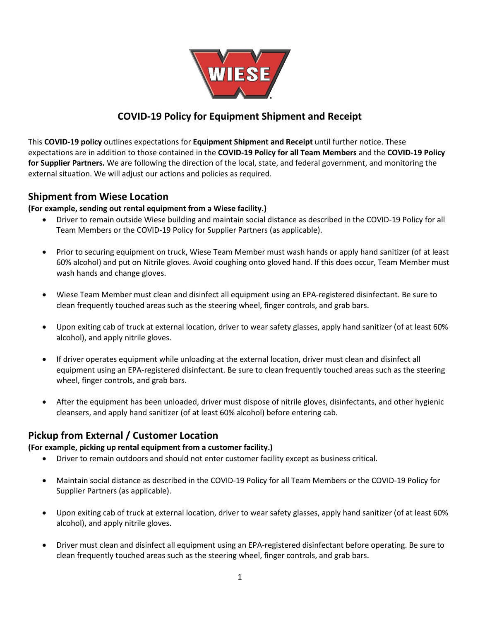

# **COVID-19 Policy for Equipment Shipment and Receipt**

This **COVID-19 policy** outlines expectations for **Equipment Shipment and Receipt** until further notice. These expectations are in addition to those contained in the **COVID-19 Policy for all Team Members** and the **COVID-19 Policy for Supplier Partners.** We are following the direction of the local, state, and federal government, and monitoring the external situation. We will adjust our actions and policies as required.

### **Shipment from Wiese Location**

#### **(For example, sending out rental equipment from a Wiese facility.)**

- Driver to remain outside Wiese building and maintain social distance as described in the COVID-19 Policy for all Team Members or the COVID-19 Policy for Supplier Partners (as applicable).
- Prior to securing equipment on truck, Wiese Team Member must wash hands or apply hand sanitizer (of at least 60% alcohol) and put on Nitrile gloves. Avoid coughing onto gloved hand. If this does occur, Team Member must wash hands and change gloves.
- Wiese Team Member must clean and disinfect all equipment using an EPA-registered disinfectant. Be sure to clean frequently touched areas such as the steering wheel, finger controls, and grab bars.
- Upon exiting cab of truck at external location, driver to wear safety glasses, apply hand sanitizer (of at least 60% alcohol), and apply nitrile gloves.
- If driver operates equipment while unloading at the external location, driver must clean and disinfect all equipment using an EPA-registered disinfectant. Be sure to clean frequently touched areas such as the steering wheel, finger controls, and grab bars.
- After the equipment has been unloaded, driver must dispose of nitrile gloves, disinfectants, and other hygienic cleansers, and apply hand sanitizer (of at least 60% alcohol) before entering cab.

### **Pickup from External / Customer Location**

#### **(For example, picking up rental equipment from a customer facility.)**

- Driver to remain outdoors and should not enter customer facility except as business critical.
- Maintain social distance as described in the COVID-19 Policy for all Team Members or the COVID-19 Policy for Supplier Partners (as applicable).
- Upon exiting cab of truck at external location, driver to wear safety glasses, apply hand sanitizer (of at least 60% alcohol), and apply nitrile gloves.
- Driver must clean and disinfect all equipment using an EPA-registered disinfectant before operating. Be sure to clean frequently touched areas such as the steering wheel, finger controls, and grab bars.